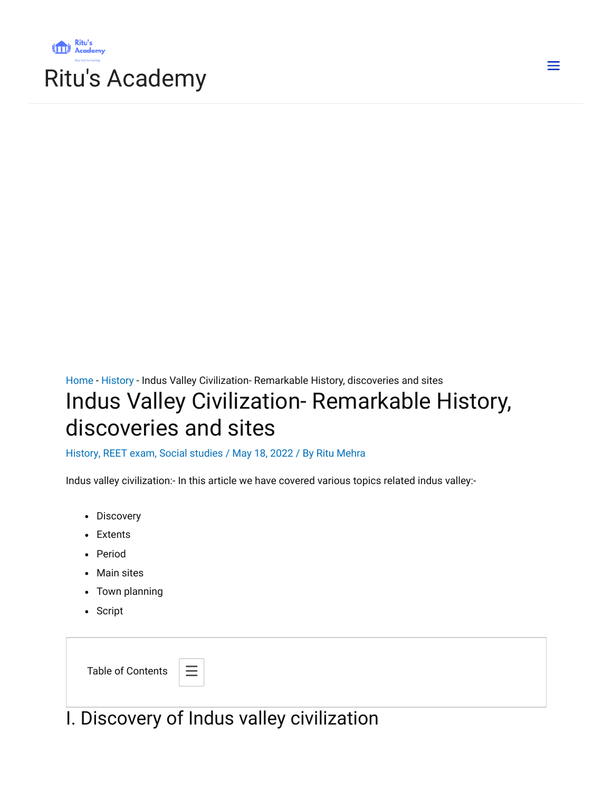

 $\equiv$ 

# [Home](https://ritusacademy.com/) - [History](https://ritusacademy.com/category/social-studies/history/) - Indus Valley Civilization- Remarkable History, discoveries and sites Indus Valley Civilization- Remarkable History,

# discoveries and sites

#### [History,](https://ritusacademy.com/category/social-studies/history/) REET [exam,](https://ritusacademy.com/category/reet-exam/) Social [studies](https://ritusacademy.com/category/social-studies/) / May 18, 2022 / By Ritu [Mehra](https://ritusacademy.com/author/ritumehra19820713/)

Indus valley civilization:- In this article we have covered various topics related indus valley:-

- Discovery
- Extents
- Period
- Main sites
- Town planning
- Script

| <b>Table of Contents</b> | $\equiv$ |
|--------------------------|----------|
|--------------------------|----------|

I. Discovery of Indus valley civilization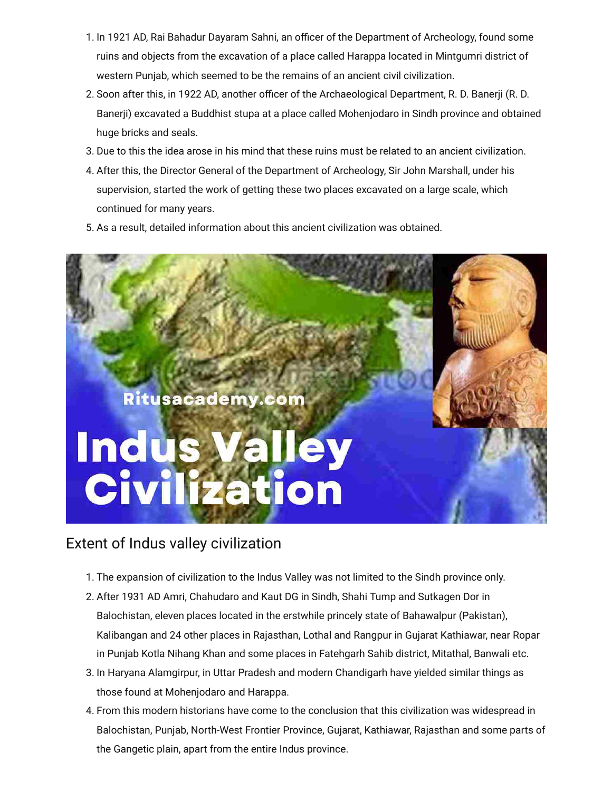- 1. In 1921 AD, Rai Bahadur Dayaram Sahni, an officer of the Department of Archeology, found some ruins and objects from the excavation of a place called Harappa located in Mintgumri district of western Punjab, which seemed to be the remains of an ancient civil civilization.
- 2. Soon after this, in 1922 AD, another officer of the Archaeological Department, R. D. Banerji (R. D. Banerji) excavated a Buddhist stupa at a place called Mohenjodaro in Sindh province and obtained huge bricks and seals.
- 3. Due to this the idea arose in his mind that these ruins must be related to an ancient civilization.
- 4. After this, the Director General of the Department of Archeology, Sir John Marshall, under his supervision, started the work of getting these two places excavated on a large scale, which continued for many years.
- 5. As a result, detailed information about this ancient civilization was obtained.



#### Extent of Indus valley civilization

- 1. The expansion of civilization to the Indus Valley was not limited to the Sindh province only.
- 2. After 1931 AD Amri, Chahudaro and Kaut DG in Sindh, Shahi Tump and Sutkagen Dor in Balochistan, eleven places located in the erstwhile princely state of Bahawalpur (Pakistan), Kalibangan and 24 other places in Rajasthan, Lothal and Rangpur in Gujarat Kathiawar, near Ropar in Punjab Kotla Nihang Khan and some places in Fatehgarh Sahib district, Mitathal, Banwali etc.
- 3. In Haryana Alamgirpur, in Uttar Pradesh and modern Chandigarh have yielded similar things as those found at Mohenjodaro and Harappa.
- 4. From this modern historians have come to the conclusion that this civilization was widespread in Balochistan, Punjab, North-West Frontier Province, Gujarat, Kathiawar, Rajasthan and some parts of the Gangetic plain, apart from the entire Indus province.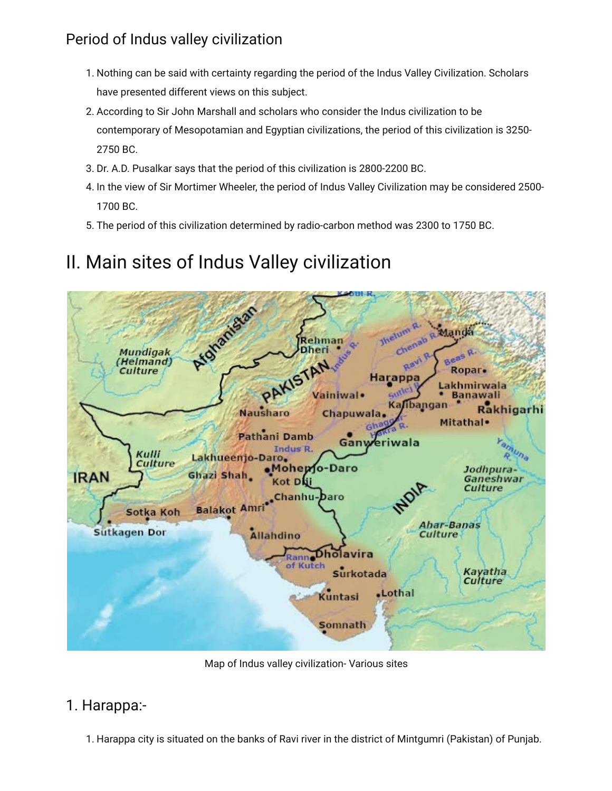## Period of Indus valley civilization

- 1. Nothing can be said with certainty regarding the period of the Indus Valley Civilization. Scholars have presented different views on this subject.
- 2. According to Sir John Marshall and scholars who consider the Indus civilization to be contemporary of Mesopotamian and Egyptian civilizations, the period of this civilization is 3250- 2750 BC.
- 3. Dr. A.D. Pusalkar says that the period of this civilization is 2800-2200 BC.
- 4. In the view of Sir Mortimer Wheeler, the period of Indus Valley Civilization may be considered 2500- 1700 BC.
- 5. The period of this civilization determined by radio-carbon method was 2300 to 1750 BC.

## II. Main sites of Indus Valley civilization



Map of Indus valley civilization- Various sites

#### 1. Harappa:-

1. Harappa city is situated on the banks of Ravi river in the district of Mintgumri (Pakistan) of Punjab.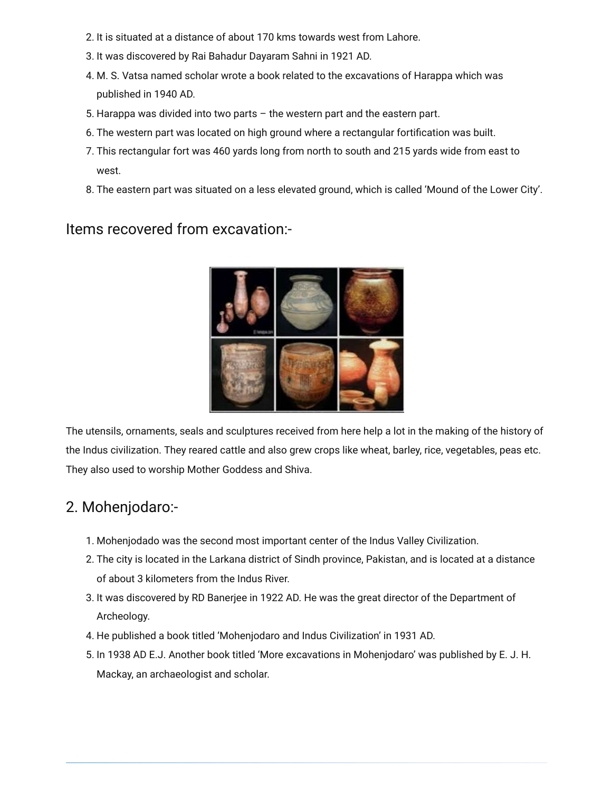- 2. It is situated at a distance of about 170 kms towards west from Lahore.
- 3. It was discovered by Rai Bahadur Dayaram Sahni in 1921 AD.
- 4. M. S. Vatsa named scholar wrote a book related to the excavations of Harappa which was published in 1940 AD.
- 5. Harappa was divided into two parts the western part and the eastern part.
- 6. The western part was located on high ground where a rectangular fortification was built.
- 7. This rectangular fort was 460 yards long from north to south and 215 yards wide from east to west.
- 8. The eastern part was situated on a less elevated ground, which is called 'Mound of the Lower City'.

#### Items recovered from excavation:-



The utensils, ornaments, seals and sculptures received from here help a lot in the making of the history of the Indus civilization. They reared cattle and also grew crops like wheat, barley, rice, vegetables, peas etc. They also used to worship Mother Goddess and Shiva.

#### 2. Mohenjodaro:-

- 1. Mohenjodado was the second most important center of the Indus Valley Civilization.
- 2. The city is located in the Larkana district of Sindh province, Pakistan, and is located at a distance of about 3 kilometers from the Indus River.
- 3. It was discovered by RD Banerjee in 1922 AD. He was the great director of the Department of Archeology.
- 4. He published a book titled 'Mohenjodaro and Indus Civilization' in 1931 AD.
- 5. In 1938 AD E.J. Another book titled 'More excavations in Mohenjodaro' was published by E. J. H. Mackay, an archaeologist and scholar.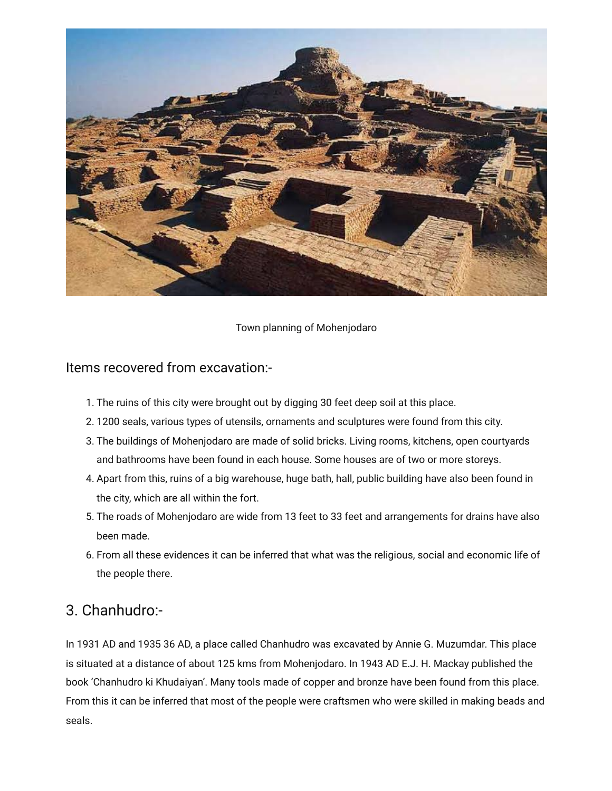

Town planning of Mohenjodaro

#### Items recovered from excavation:-

- 1. The ruins of this city were brought out by digging 30 feet deep soil at this place.
- 2. 1200 seals, various types of utensils, ornaments and sculptures were found from this city.
- 3. The buildings of Mohenjodaro are made of solid bricks. Living rooms, kitchens, open courtyards and bathrooms have been found in each house. Some houses are of two or more storeys.
- 4. Apart from this, ruins of a big warehouse, huge bath, hall, public building have also been found in the city, which are all within the fort.
- 5. The roads of Mohenjodaro are wide from 13 feet to 33 feet and arrangements for drains have also been made.
- 6. From all these evidences it can be inferred that what was the religious, social and economic life of the people there.

#### 3. Chanhudro:-

In 1931 AD and 1935 36 AD, a place called Chanhudro was excavated by Annie G. Muzumdar. This place is situated at a distance of about 125 kms from Mohenjodaro. In 1943 AD E.J. H. Mackay published the book 'Chanhudro ki Khudaiyan'. Many tools made of copper and bronze have been found from this place. From this it can be inferred that most of the people were craftsmen who were skilled in making beads and seals.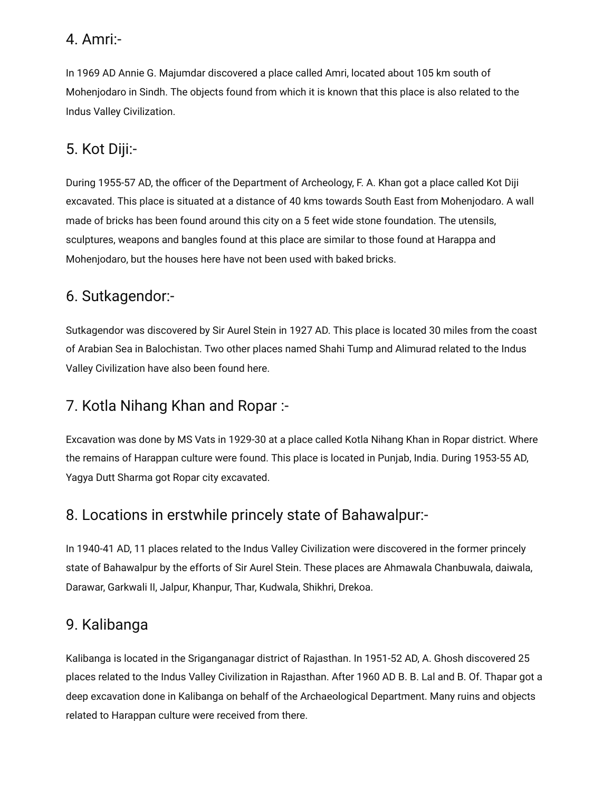#### 4. Amri:-

In 1969 AD Annie G. Majumdar discovered a place called Amri, located about 105 km south of Mohenjodaro in Sindh. The objects found from which it is known that this place is also related to the Indus Valley Civilization.

## 5. Kot Diji:-

During 1955-57 AD, the officer of the Department of Archeology, F. A. Khan got a place called Kot Diji excavated. This place is situated at a distance of 40 kms towards South East from Mohenjodaro. A wall made of bricks has been found around this city on a 5 feet wide stone foundation. The utensils, sculptures, weapons and bangles found at this place are similar to those found at Harappa and Mohenjodaro, but the houses here have not been used with baked bricks.

#### 6. Sutkagendor:-

Sutkagendor was discovered by Sir Aurel Stein in 1927 AD. This place is located 30 miles from the coast of Arabian Sea in Balochistan. Two other places named Shahi Tump and Alimurad related to the Indus Valley Civilization have also been found here.

## 7. Kotla Nihang Khan and Ropar :-

Excavation was done by MS Vats in 1929-30 at a place called Kotla Nihang Khan in Ropar district. Where the remains of Harappan culture were found. This place is located in Punjab, India. During 1953-55 AD, Yagya Dutt Sharma got Ropar city excavated.

#### 8. Locations in erstwhile princely state of Bahawalpur:-

In 1940-41 AD, 11 places related to the Indus Valley Civilization were discovered in the former princely state of Bahawalpur by the efforts of Sir Aurel Stein. These places are Ahmawala Chanbuwala, daiwala, Darawar, Garkwali II, Jalpur, Khanpur, Thar, Kudwala, Shikhri, Drekoa.

## 9. Kalibanga

Kalibanga is located in the Sriganganagar district of Rajasthan. In 1951-52 AD, A. Ghosh discovered 25 places related to the Indus Valley Civilization in Rajasthan. After 1960 AD B. B. Lal and B. Of. Thapar got a deep excavation done in Kalibanga on behalf of the Archaeological Department. Many ruins and objects related to Harappan culture were received from there.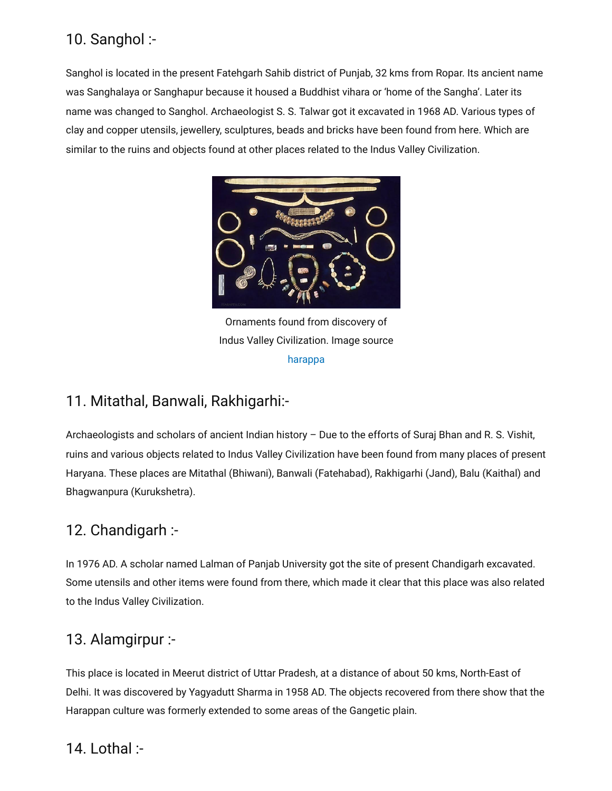#### 10. Sanghol :-

Sanghol is located in the present Fatehgarh Sahib district of Punjab, 32 kms from Ropar. Its ancient name was Sanghalaya or Sanghapur because it housed a Buddhist vihara or 'home of the Sangha'. Later its name was changed to Sanghol. Archaeologist S. S. Talwar got it excavated in 1968 AD. Various types of clay and copper utensils, jewellery, sculptures, beads and bricks have been found from here. Which are similar to the ruins and objects found at other places related to the Indus Valley Civilization.



Ornaments found from discovery of Indus Valley Civilization. Image source [harappa](https://www.harappa.com/slide/ancient-indus-ornaments)

## 11. Mitathal, Banwali, Rakhigarhi:-

Archaeologists and scholars of ancient Indian history – Due to the efforts of Suraj Bhan and R. S. Vishit, ruins and various objects related to Indus Valley Civilization have been found from many places of present Haryana. These places are Mitathal (Bhiwani), Banwali (Fatehabad), Rakhigarhi (Jand), Balu (Kaithal) and Bhagwanpura (Kurukshetra).

## 12. Chandigarh :-

In 1976 AD. A scholar named Lalman of Panjab University got the site of present Chandigarh excavated. Some utensils and other items were found from there, which made it clear that this place was also related to the Indus Valley Civilization.

#### 13. Alamgirpur :-

This place is located in Meerut district of Uttar Pradesh, at a distance of about 50 kms, North-East of Delhi. It was discovered by Yagyadutt Sharma in 1958 AD. The objects recovered from there show that the Harappan culture was formerly extended to some areas of the Gangetic plain.

## 14. Lothal :-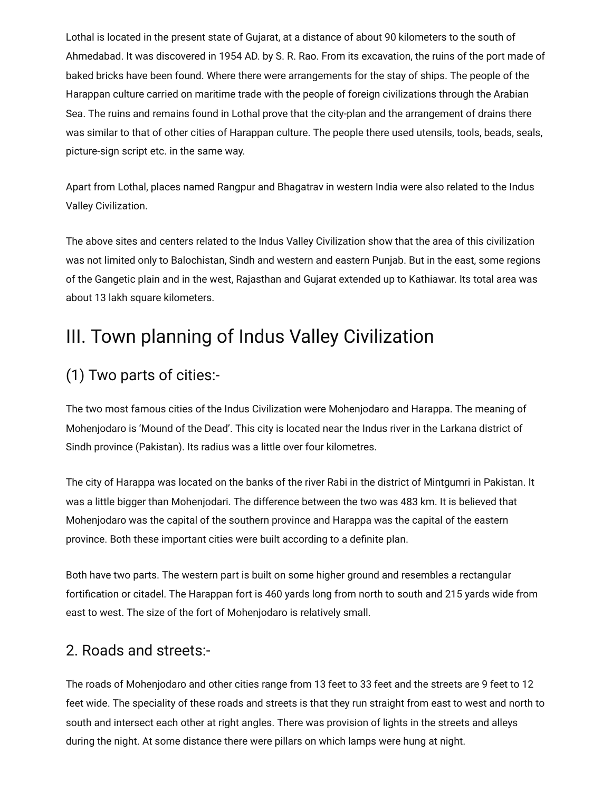Lothal is located in the present state of Gujarat, at a distance of about 90 kilometers to the south of Ahmedabad. It was discovered in 1954 AD. by S. R. Rao. From its excavation, the ruins of the port made of baked bricks have been found. Where there were arrangements for the stay of ships. The people of the Harappan culture carried on maritime trade with the people of foreign civilizations through the Arabian Sea. The ruins and remains found in Lothal prove that the city-plan and the arrangement of drains there was similar to that of other cities of Harappan culture. The people there used utensils, tools, beads, seals, picture-sign script etc. in the same way.

Apart from Lothal, places named Rangpur and Bhagatrav in western India were also related to the Indus Valley Civilization.

The above sites and centers related to the Indus Valley Civilization show that the area of this civilization was not limited only to Balochistan, Sindh and western and eastern Punjab. But in the east, some regions of the Gangetic plain and in the west, Rajasthan and Gujarat extended up to Kathiawar. Its total area was about 13 lakh square kilometers.

## III. Town planning of Indus Valley Civilization

## (1) Two parts of cities:-

The two most famous cities of the Indus Civilization were Mohenjodaro and Harappa. The meaning of Mohenjodaro is 'Mound of the Dead'. This city is located near the Indus river in the Larkana district of Sindh province (Pakistan). Its radius was a little over four kilometres.

The city of Harappa was located on the banks of the river Rabi in the district of Mintgumri in Pakistan. It was a little bigger than Mohenjodari. The difference between the two was 483 km. It is believed that Mohenjodaro was the capital of the southern province and Harappa was the capital of the eastern province. Both these important cities were built according to a definite plan.

Both have two parts. The western part is built on some higher ground and resembles a rectangular fortification or citadel. The Harappan fort is 460 yards long from north to south and 215 yards wide from east to west. The size of the fort of Mohenjodaro is relatively small.

#### 2. Roads and streets:-

The roads of Mohenjodaro and other cities range from 13 feet to 33 feet and the streets are 9 feet to 12 feet wide. The speciality of these roads and streets is that they run straight from east to west and north to south and intersect each other at right angles. There was provision of lights in the streets and alleys during the night. At some distance there were pillars on which lamps were hung at night.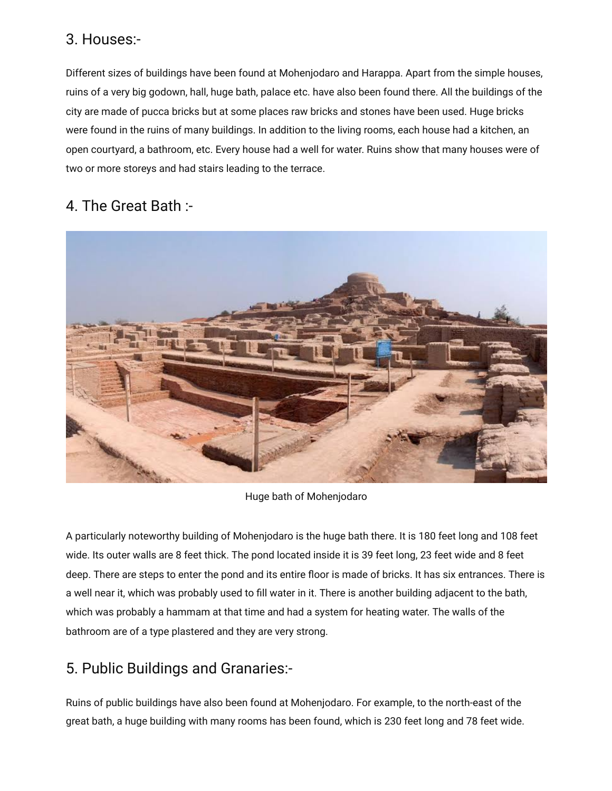#### 3. Houses:-

Different sizes of buildings have been found at Mohenjodaro and Harappa. Apart from the simple houses, ruins of a very big godown, hall, huge bath, palace etc. have also been found there. All the buildings of the city are made of pucca bricks but at some places raw bricks and stones have been used. Huge bricks were found in the ruins of many buildings. In addition to the living rooms, each house had a kitchen, an open courtyard, a bathroom, etc. Every house had a well for water. Ruins show that many houses were of two or more storeys and had stairs leading to the terrace.

#### 4. The Great Bath :-



Huge bath of Mohenjodaro

A particularly noteworthy building of Mohenjodaro is the huge bath there. It is 180 feet long and 108 feet wide. Its outer walls are 8 feet thick. The pond located inside it is 39 feet long, 23 feet wide and 8 feet deep. There are steps to enter the pond and its entire floor is made of bricks. It has six entrances. There is a well near it, which was probably used to fill water in it. There is another building adjacent to the bath, which was probably a hammam at that time and had a system for heating water. The walls of the bathroom are of a type plastered and they are very strong.

#### 5. Public Buildings and Granaries:-

Ruins of public buildings have also been found at Mohenjodaro. For example, to the north-east of the great bath, a huge building with many rooms has been found, which is 230 feet long and 78 feet wide.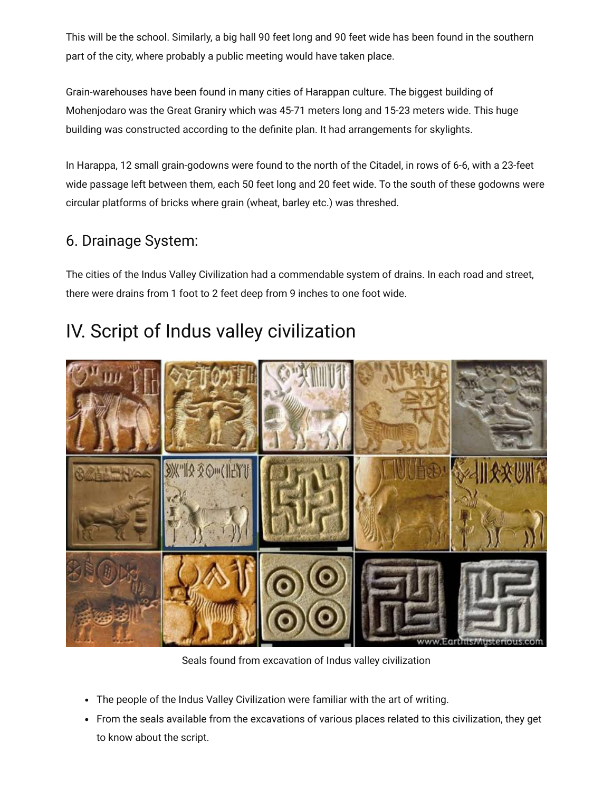This will be the school. Similarly, a big hall 90 feet long and 90 feet wide has been found in the southern part of the city, where probably a public meeting would have taken place.

Grain-warehouses have been found in many cities of Harappan culture. The biggest building of Mohenjodaro was the Great Graniry which was 45-71 meters long and 15-23 meters wide. This huge building was constructed according to the definite plan. It had arrangements for skylights.

In Harappa, 12 small grain-godowns were found to the north of the Citadel, in rows of 6-6, with a 23-feet wide passage left between them, each 50 feet long and 20 feet wide. To the south of these godowns were circular platforms of bricks where grain (wheat, barley etc.) was threshed.

## 6. Drainage System:

The cities of the Indus Valley Civilization had a commendable system of drains. In each road and street, there were drains from 1 foot to 2 feet deep from 9 inches to one foot wide.

## IV. Script of Indus valley civilization



Seals found from excavation of Indus valley civilization

- The people of the Indus Valley Civilization were familiar with the art of writing.
- From the seals available from the excavations of various places related to this civilization, they get to know about the script.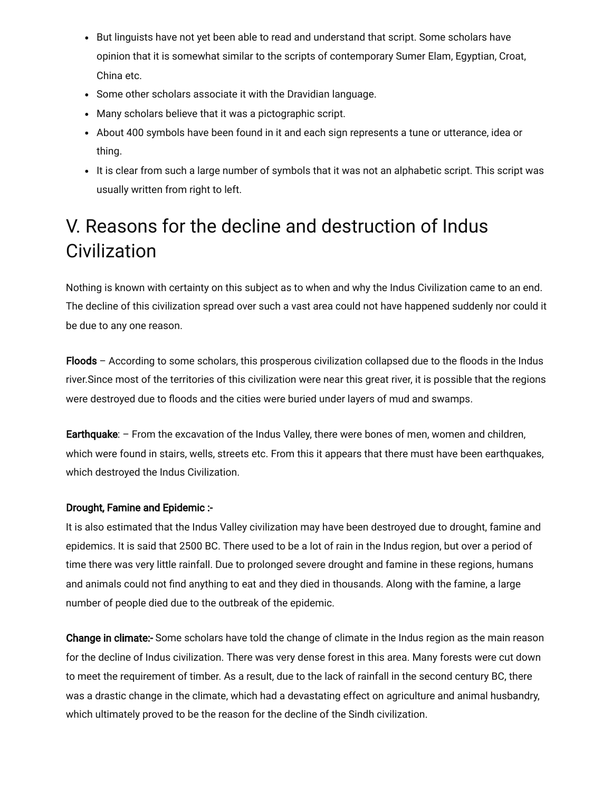- But linguists have not yet been able to read and understand that script. Some scholars have opinion that it is somewhat similar to the scripts of contemporary Sumer Elam, Egyptian, Croat, China etc.
- Some other scholars associate it with the Dravidian language.
- Many scholars believe that it was a pictographic script.
- About 400 symbols have been found in it and each sign represents a tune or utterance, idea or thing.
- It is clear from such a large number of symbols that it was not an alphabetic script. This script was usually written from right to left.

## V. Reasons for the decline and destruction of Indus **Civilization**

Nothing is known with certainty on this subject as to when and why the Indus Civilization came to an end. The decline of this civilization spread over such a vast area could not have happened suddenly nor could it be due to any one reason.

Floods – According to some scholars, this prosperous civilization collapsed due to the floods in the Indus river.Since most of the territories of this civilization were near this great river, it is possible that the regions were destroyed due to floods and the cities were buried under layers of mud and swamps.

Earthquake:  $-$  From the excavation of the Indus Valley, there were bones of men, women and children, which were found in stairs, wells, streets etc. From this it appears that there must have been earthquakes, which destroyed the Indus Civilization.

#### Drought, Famine and Epidemic :-

It is also estimated that the Indus Valley civilization may have been destroyed due to drought, famine and epidemics. It is said that 2500 BC. There used to be a lot of rain in the Indus region, but over a period of time there was very little rainfall. Due to prolonged severe drought and famine in these regions, humans and animals could not find anything to eat and they died in thousands. Along with the famine, a large number of people died due to the outbreak of the epidemic.

**Change in climate:-** Some scholars have told the change of climate in the Indus region as the main reason for the decline of Indus civilization. There was very dense forest in this area. Many forests were cut down to meet the requirement of timber. As a result, due to the lack of rainfall in the second century BC, there was a drastic change in the climate, which had a devastating effect on agriculture and animal husbandry, which ultimately proved to be the reason for the decline of the Sindh civilization.